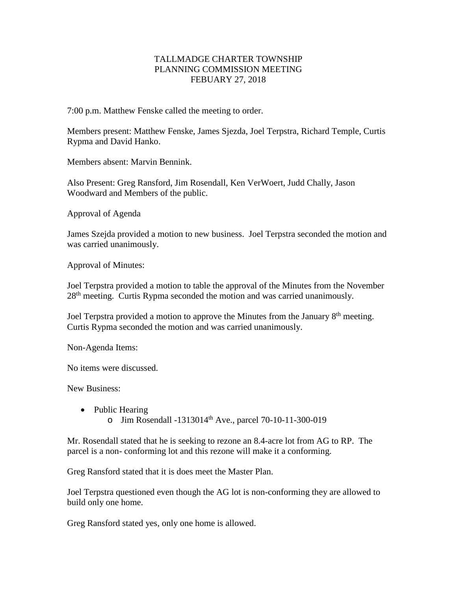## TALLMADGE CHARTER TOWNSHIP PLANNING COMMISSION MEETING FEBUARY 27, 2018

7:00 p.m. Matthew Fenske called the meeting to order.

Members present: Matthew Fenske, James Sjezda, Joel Terpstra, Richard Temple, Curtis Rypma and David Hanko.

Members absent: Marvin Bennink.

Also Present: Greg Ransford, Jim Rosendall, Ken VerWoert, Judd Chally, Jason Woodward and Members of the public.

Approval of Agenda

James Szejda provided a motion to new business. Joel Terpstra seconded the motion and was carried unanimously.

Approval of Minutes:

Joel Terpstra provided a motion to table the approval of the Minutes from the November 28<sup>th</sup> meeting. Curtis Rypma seconded the motion and was carried unanimously.

Joel Terpstra provided a motion to approve the Minutes from the January 8<sup>th</sup> meeting. Curtis Rypma seconded the motion and was carried unanimously.

Non-Agenda Items:

No items were discussed.

New Business:

• Public Hearing o Jim Rosendall -1313014th Ave., parcel 70-10-11-300-019

Mr. Rosendall stated that he is seeking to rezone an 8.4-acre lot from AG to RP. The parcel is a non- conforming lot and this rezone will make it a conforming.

Greg Ransford stated that it is does meet the Master Plan.

Joel Terpstra questioned even though the AG lot is non-conforming they are allowed to build only one home.

Greg Ransford stated yes, only one home is allowed.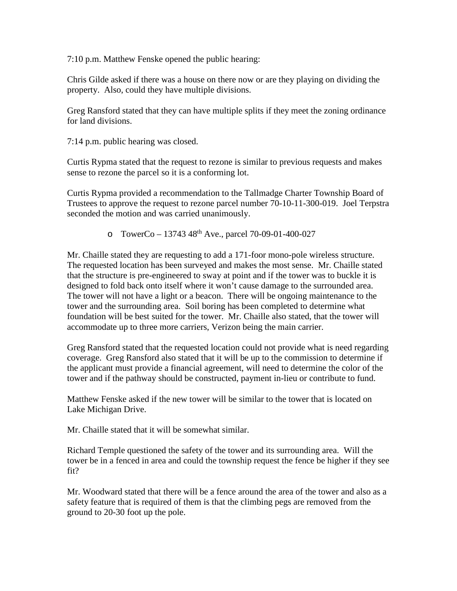7:10 p.m. Matthew Fenske opened the public hearing:

Chris Gilde asked if there was a house on there now or are they playing on dividing the property. Also, could they have multiple divisions.

Greg Ransford stated that they can have multiple splits if they meet the zoning ordinance for land divisions.

7:14 p.m. public hearing was closed.

Curtis Rypma stated that the request to rezone is similar to previous requests and makes sense to rezone the parcel so it is a conforming lot.

Curtis Rypma provided a recommendation to the Tallmadge Charter Township Board of Trustees to approve the request to rezone parcel number 70-10-11-300-019. Joel Terpstra seconded the motion and was carried unanimously.

o TowerCo – 13743 48<sup>th</sup> Ave., parcel 70-09-01-400-027

Mr. Chaille stated they are requesting to add a 171-foor mono-pole wireless structure. The requested location has been surveyed and makes the most sense. Mr. Chaille stated that the structure is pre-engineered to sway at point and if the tower was to buckle it is designed to fold back onto itself where it won't cause damage to the surrounded area. The tower will not have a light or a beacon. There will be ongoing maintenance to the tower and the surrounding area. Soil boring has been completed to determine what foundation will be best suited for the tower. Mr. Chaille also stated, that the tower will accommodate up to three more carriers, Verizon being the main carrier.

Greg Ransford stated that the requested location could not provide what is need regarding coverage. Greg Ransford also stated that it will be up to the commission to determine if the applicant must provide a financial agreement, will need to determine the color of the tower and if the pathway should be constructed, payment in-lieu or contribute to fund.

Matthew Fenske asked if the new tower will be similar to the tower that is located on Lake Michigan Drive.

Mr. Chaille stated that it will be somewhat similar.

Richard Temple questioned the safety of the tower and its surrounding area. Will the tower be in a fenced in area and could the township request the fence be higher if they see fit?

Mr. Woodward stated that there will be a fence around the area of the tower and also as a safety feature that is required of them is that the climbing pegs are removed from the ground to 20-30 foot up the pole.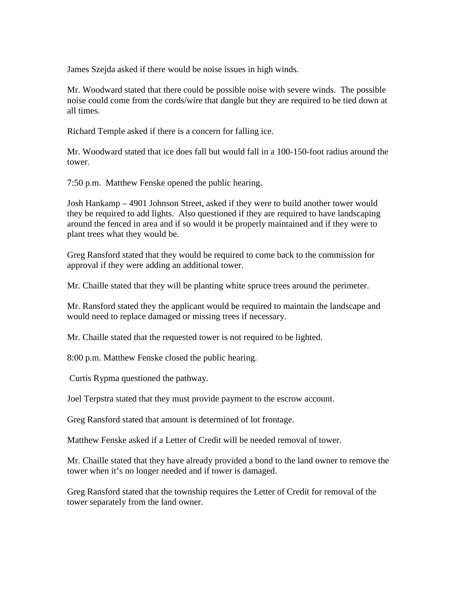James Szejda asked if there would be noise issues in high winds.

Mr. Woodward stated that there could be possible noise with severe winds. The possible noise could come from the cords/wire that dangle but they are required to be tied down at all times.

Richard Temple asked if there is a concern for falling ice.

Mr. Woodward stated that ice does fall but would fall in a 100-150-foot radius around the tower.

7:50 p.m. Matthew Fenske opened the public hearing.

Josh Hankamp – 4901 Johnson Street, asked if they were to build another tower would they be required to add lights. Also questioned if they are required to have landscaping around the fenced in area and if so would it be properly maintained and if they were to plant trees what they would be.

Greg Ransford stated that they would be required to come back to the commission for approval if they were adding an additional tower.

Mr. Chaille stated that they will be planting white spruce trees around the perimeter.

Mr. Ransford stated they the applicant would be required to maintain the landscape and would need to replace damaged or missing trees if necessary.

Mr. Chaille stated that the requested tower is not required to be lighted.

8:00 p.m. Matthew Fenske closed the public hearing.

Curtis Rypma questioned the pathway.

Joel Terpstra stated that they must provide payment to the escrow account.

Greg Ransford stated that amount is determined of lot frontage.

Matthew Fenske asked if a Letter of Credit will be needed removal of tower.

Mr. Chaille stated that they have already provided a bond to the land owner to remove the tower when it's no longer needed and if tower is damaged.

Greg Ransford stated that the township requires the Letter of Credit for removal of the tower separately from the land owner.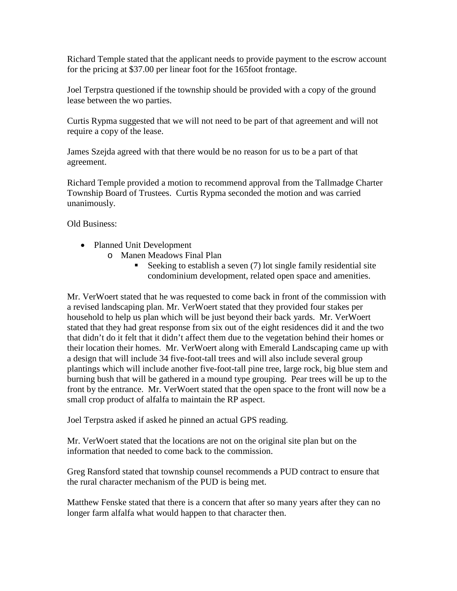Richard Temple stated that the applicant needs to provide payment to the escrow account for the pricing at \$37.00 per linear foot for the 165foot frontage.

Joel Terpstra questioned if the township should be provided with a copy of the ground lease between the wo parties.

Curtis Rypma suggested that we will not need to be part of that agreement and will not require a copy of the lease.

James Szejda agreed with that there would be no reason for us to be a part of that agreement.

Richard Temple provided a motion to recommend approval from the Tallmadge Charter Township Board of Trustees. Curtis Rypma seconded the motion and was carried unanimously.

Old Business:

- Planned Unit Development
	- o Manen Meadows Final Plan
		- Seeking to establish a seven  $(7)$  lot single family residential site condominium development, related open space and amenities.

Mr. VerWoert stated that he was requested to come back in front of the commission with a revised landscaping plan. Mr. VerWoert stated that they provided four stakes per household to help us plan which will be just beyond their back yards. Mr. VerWoert stated that they had great response from six out of the eight residences did it and the two that didn't do it felt that it didn't affect them due to the vegetation behind their homes or their location their homes. Mr. VerWoert along with Emerald Landscaping came up with a design that will include 34 five-foot-tall trees and will also include several group plantings which will include another five-foot-tall pine tree, large rock, big blue stem and burning bush that will be gathered in a mound type grouping. Pear trees will be up to the front by the entrance. Mr. VerWoert stated that the open space to the front will now be a small crop product of alfalfa to maintain the RP aspect.

Joel Terpstra asked if asked he pinned an actual GPS reading.

Mr. VerWoert stated that the locations are not on the original site plan but on the information that needed to come back to the commission.

Greg Ransford stated that township counsel recommends a PUD contract to ensure that the rural character mechanism of the PUD is being met.

Matthew Fenske stated that there is a concern that after so many years after they can no longer farm alfalfa what would happen to that character then.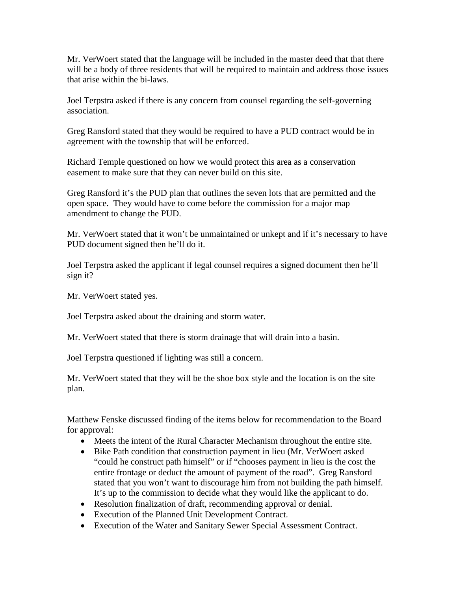Mr. VerWoert stated that the language will be included in the master deed that that there will be a body of three residents that will be required to maintain and address those issues that arise within the bi-laws.

Joel Terpstra asked if there is any concern from counsel regarding the self-governing association.

Greg Ransford stated that they would be required to have a PUD contract would be in agreement with the township that will be enforced.

Richard Temple questioned on how we would protect this area as a conservation easement to make sure that they can never build on this site.

Greg Ransford it's the PUD plan that outlines the seven lots that are permitted and the open space. They would have to come before the commission for a major map amendment to change the PUD.

Mr. VerWoert stated that it won't be unmaintained or unkept and if it's necessary to have PUD document signed then he'll do it.

Joel Terpstra asked the applicant if legal counsel requires a signed document then he'll sign it?

Mr. VerWoert stated yes.

Joel Terpstra asked about the draining and storm water.

Mr. VerWoert stated that there is storm drainage that will drain into a basin.

Joel Terpstra questioned if lighting was still a concern.

Mr. VerWoert stated that they will be the shoe box style and the location is on the site plan.

Matthew Fenske discussed finding of the items below for recommendation to the Board for approval:

- Meets the intent of the Rural Character Mechanism throughout the entire site.
- Bike Path condition that construction payment in lieu (Mr. VerWoert asked "could he construct path himself" or if "chooses payment in lieu is the cost the entire frontage or deduct the amount of payment of the road". Greg Ransford stated that you won't want to discourage him from not building the path himself. It's up to the commission to decide what they would like the applicant to do.
- Resolution finalization of draft, recommending approval or denial.
- Execution of the Planned Unit Development Contract.
- Execution of the Water and Sanitary Sewer Special Assessment Contract.